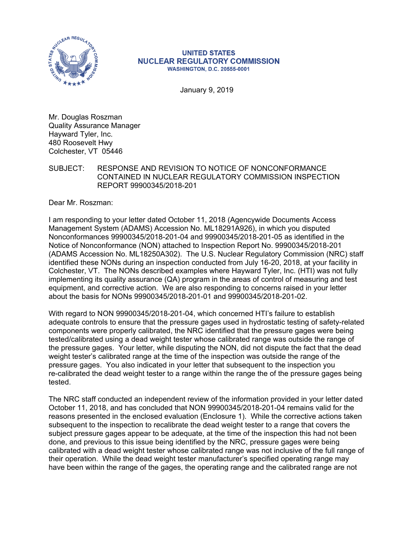

#### **UNITED STATES NUCLEAR REGULATORY COMMISSION WASHINGTON, D.C. 20555-0001**

January 9, 2019

Mr. Douglas Roszman Quality Assurance Manager Hayward Tyler, Inc. 480 Roosevelt Hwy Colchester, VT 05446

#### SUBJECT: RESPONSE AND REVISION TO NOTICE OF NONCONFORMANCE CONTAINED IN NUCLEAR REGULATORY COMMISSION INSPECTION REPORT 99900345/2018-201

Dear Mr. Roszman:

I am responding to your letter dated October 11, 2018 (Agencywide Documents Access Management System (ADAMS) Accession No. ML18291A926), in which you disputed Nonconformances 99900345/2018-201-04 and 99900345/2018-201-05 as identified in the Notice of Nonconformance (NON) attached to Inspection Report No. 99900345/2018-201 (ADAMS Accession No. ML18250A302). The U.S. Nuclear Regulatory Commission (NRC) staff identified these NONs during an inspection conducted from July 16-20, 2018, at your facility in Colchester, VT. The NONs described examples where Hayward Tyler, Inc. (HTI) was not fully implementing its quality assurance (QA) program in the areas of control of measuring and test equipment, and corrective action. We are also responding to concerns raised in your letter about the basis for NONs 99900345/2018-201-01 and 99900345/2018-201-02.

With regard to NON 99900345/2018-201-04, which concerned HTI's failure to establish adequate controls to ensure that the pressure gages used in hydrostatic testing of safety-related components were properly calibrated, the NRC identified that the pressure gages were being tested/calibrated using a dead weight tester whose calibrated range was outside the range of the pressure gages. Your letter, while disputing the NON, did not dispute the fact that the dead weight tester's calibrated range at the time of the inspection was outside the range of the pressure gages. You also indicated in your letter that subsequent to the inspection you re-calibrated the dead weight tester to a range within the range the of the pressure gages being tested.

The NRC staff conducted an independent review of the information provided in your letter dated October 11, 2018, and has concluded that NON 99900345/2018-201-04 remains valid for the reasons presented in the enclosed evaluation (Enclosure 1). While the corrective actions taken subsequent to the inspection to recalibrate the dead weight tester to a range that covers the subject pressure gages appear to be adequate, at the time of the inspection this had not been done, and previous to this issue being identified by the NRC, pressure gages were being calibrated with a dead weight tester whose calibrated range was not inclusive of the full range of their operation. While the dead weight tester manufacturer's specified operating range may have been within the range of the gages, the operating range and the calibrated range are not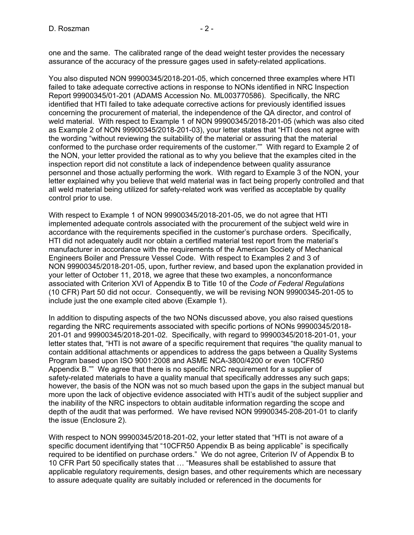one and the same. The calibrated range of the dead weight tester provides the necessary assurance of the accuracy of the pressure gages used in safety-related applications.

You also disputed NON 99900345/2018-201-05, which concerned three examples where HTI failed to take adequate corrective actions in response to NONs identified in NRC Inspection Report 99900345/01-201 (ADAMS Accession No. ML003770586). Specifically, the NRC identified that HTI failed to take adequate corrective actions for previously identified issues concerning the procurement of material, the independence of the QA director, and control of weld material. With respect to Example 1 of NON 99900345/2018-201-05 (which was also cited as Example 2 of NON 99900345/2018-201-03), your letter states that "HTI does not agree with the wording "without reviewing the suitability of the material or assuring that the material conformed to the purchase order requirements of the customer."" With regard to Example 2 of the NON, your letter provided the rational as to why you believe that the examples cited in the inspection report did not constitute a lack of independence between quality assurance personnel and those actually performing the work. With regard to Example 3 of the NON, your letter explained why you believe that weld material was in fact being properly controlled and that all weld material being utilized for safety-related work was verified as acceptable by quality control prior to use.

With respect to Example 1 of NON 99900345/2018-201-05, we do not agree that HTI implemented adequate controls associated with the procurement of the subject weld wire in accordance with the requirements specified in the customer's purchase orders. Specifically, HTI did not adequately audit nor obtain a certified material test report from the material's manufacturer in accordance with the requirements of the American Society of Mechanical Engineers Boiler and Pressure Vessel Code. With respect to Examples 2 and 3 of NON 99900345/2018-201-05, upon, further review, and based upon the explanation provided in your letter of October 11, 2018, we agree that these two examples, a nonconformance associated with Criterion XVI of Appendix B to Title 10 of the *Code of Federal Regulations* (10 CFR) Part 50 did not occur. Consequently, we will be revising NON 99900345-201-05 to include just the one example cited above (Example 1).

In addition to disputing aspects of the two NONs discussed above, you also raised questions regarding the NRC requirements associated with specific portions of NONs 99900345/2018- 201-01 and 99900345/2018-201-02. Specifically, with regard to 99900345/2018-201-01, your letter states that, "HTI is not aware of a specific requirement that requires "the quality manual to contain additional attachments or appendices to address the gaps between a Quality Systems Program based upon ISO 9001:2008 and ASME NCA-3800/4200 or even 10CFR50 Appendix B."" We agree that there is no specific NRC requirement for a supplier of safety-related materials to have a quality manual that specifically addresses any such gaps; however, the basis of the NON was not so much based upon the gaps in the subject manual but more upon the lack of objective evidence associated with HTI's audit of the subject supplier and the inability of the NRC inspectors to obtain auditable information regarding the scope and depth of the audit that was performed. We have revised NON 99900345-208-201-01 to clarify the issue (Enclosure 2).

With respect to NON 99900345/2018-201-02, your letter stated that "HTI is not aware of a specific document identifying that "10CFR50 Appendix B as being applicable" is specifically required to be identified on purchase orders." We do not agree, Criterion IV of Appendix B to 10 CFR Part 50 specifically states that … "Measures shall be established to assure that applicable regulatory requirements, design bases, and other requirements which are necessary to assure adequate quality are suitably included or referenced in the documents for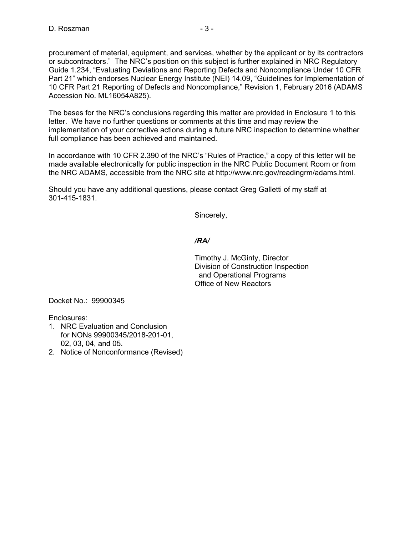procurement of material, equipment, and services, whether by the applicant or by its contractors or subcontractors." The NRC's position on this subject is further explained in NRC Regulatory Guide 1.234, "Evaluating Deviations and Reporting Defects and Noncompliance Under 10 CFR Part 21" which endorses Nuclear Energy Institute (NEI) 14.09, "Guidelines for Implementation of 10 CFR Part 21 Reporting of Defects and Noncompliance," Revision 1, February 2016 (ADAMS Accession No. ML16054A825).

The bases for the NRC's conclusions regarding this matter are provided in Enclosure 1 to this letter. We have no further questions or comments at this time and may review the implementation of your corrective actions during a future NRC inspection to determine whether full compliance has been achieved and maintained.

In accordance with 10 CFR 2.390 of the NRC's "Rules of Practice," a copy of this letter will be made available electronically for public inspection in the NRC Public Document Room or from the NRC ADAMS, accessible from the NRC site at http://www.nrc.gov/readingrm/adams.html.

Should you have any additional questions, please contact Greg Galletti of my staff at 301-415-1831.

Sincerely,

### */RA/*

Timothy J. McGinty, Director Division of Construction Inspection and Operational Programs Office of New Reactors

Docket No.: 99900345

Enclosures:

- 1. NRC Evaluation and Conclusion for NONs 99900345/2018-201-01, 02, 03, 04, and 05.
- 2. Notice of Nonconformance (Revised)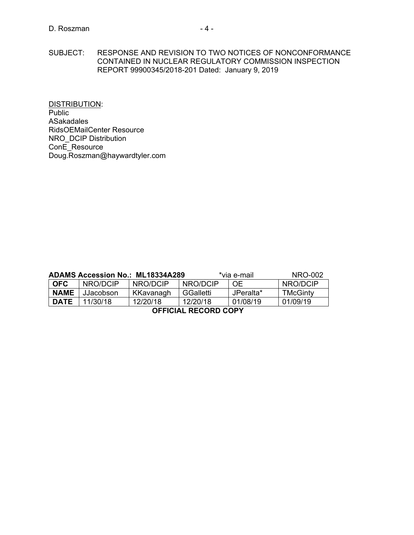SUBJECT: RESPONSE AND REVISION TO TWO NOTICES OF NONCONFORMANCE CONTAINED IN NUCLEAR REGULATORY COMMISSION INSPECTION REPORT 99900345/2018-201 Dated: January 9, 2019

DISTRIBUTION: Public ASakadales RidsOEMailCenter Resource NRO\_DCIP Distribution ConE\_Resource Doug.Roszman@haywardtyler.com

|                             |           | <b>ADAMS Accession No.: ML18334A289</b> | *via e-mail |           | NRO-002  |
|-----------------------------|-----------|-----------------------------------------|-------------|-----------|----------|
| l OFC.                      | NRO/DCIP  | NRO/DCIP                                | NRO/DCIP    | <b>OE</b> | NRO/DCIP |
| <b>NAME</b>                 | JJacobson | KKavanagh                               | GGalletti   | JPeralta* | TMcGinty |
| <b>DATE</b>                 | 11/30/18  | 12/20/18                                | 12/20/18    | 01/08/19  | 01/09/19 |
| <b>OFFICIAL RECORD COPY</b> |           |                                         |             |           |          |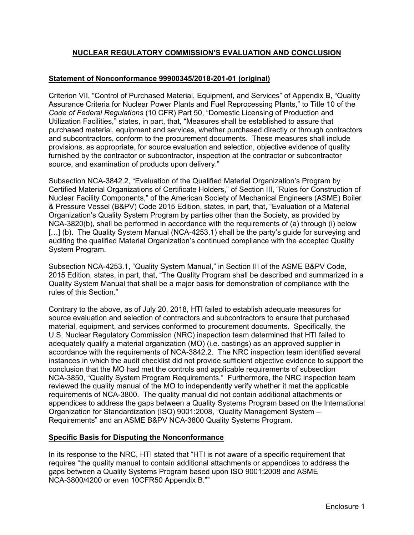### **NUCLEAR REGULATORY COMMISSION'S EVALUATION AND CONCLUSION**

#### **Statement of Nonconformance 99900345/2018-201-01 (original)**

Criterion VII, "Control of Purchased Material, Equipment, and Services" of Appendix B, "Quality Assurance Criteria for Nuclear Power Plants and Fuel Reprocessing Plants," to Title 10 of the *Code of Federal Regulations* (10 CFR) Part 50, "Domestic Licensing of Production and Utilization Facilities," states, in part, that, "Measures shall be established to assure that purchased material, equipment and services, whether purchased directly or through contractors and subcontractors, conform to the procurement documents. These measures shall include provisions, as appropriate, for source evaluation and selection, objective evidence of quality furnished by the contractor or subcontractor, inspection at the contractor or subcontractor source, and examination of products upon delivery."

Subsection NCA-3842.2, "Evaluation of the Qualified Material Organization's Program by Certified Material Organizations of Certificate Holders," of Section III, "Rules for Construction of Nuclear Facility Components," of the American Society of Mechanical Engineers (ASME) Boiler & Pressure Vessel (B&PV) Code 2015 Edition, states, in part, that, "Evaluation of a Material Organization's Quality System Program by parties other than the Society, as provided by NCA-3820(b), shall be performed in accordance with the requirements of (a) through (i) below [...] (b). The Quality System Manual (NCA-4253.1) shall be the party's guide for surveying and auditing the qualified Material Organization's continued compliance with the accepted Quality System Program.

Subsection NCA-4253.1, "Quality System Manual," in Section III of the ASME B&PV Code, 2015 Edition, states, in part, that, "The Quality Program shall be described and summarized in a Quality System Manual that shall be a major basis for demonstration of compliance with the rules of this Section."

Contrary to the above, as of July 20, 2018, HTI failed to establish adequate measures for source evaluation and selection of contractors and subcontractors to ensure that purchased material, equipment, and services conformed to procurement documents. Specifically, the U.S. Nuclear Regulatory Commission (NRC) inspection team determined that HTI failed to adequately qualify a material organization (MO) (i.e. castings) as an approved supplier in accordance with the requirements of NCA-3842.2. The NRC inspection team identified several instances in which the audit checklist did not provide sufficient objective evidence to support the conclusion that the MO had met the controls and applicable requirements of subsection NCA-3850, "Quality System Program Requirements." Furthermore, the NRC inspection team reviewed the quality manual of the MO to independently verify whether it met the applicable requirements of NCA-3800. The quality manual did not contain additional attachments or appendices to address the gaps between a Quality Systems Program based on the International Organization for Standardization (ISO) 9001:2008, "Quality Management System – Requirements" and an ASME B&PV NCA-3800 Quality Systems Program.

### **Specific Basis for Disputing the Nonconformance**

In its response to the NRC, HTI stated that "HTI is not aware of a specific requirement that requires "the quality manual to contain additional attachments or appendices to address the gaps between a Quality Systems Program based upon ISO 9001:2008 and ASME NCA-3800/4200 or even 10CFR50 Appendix B.""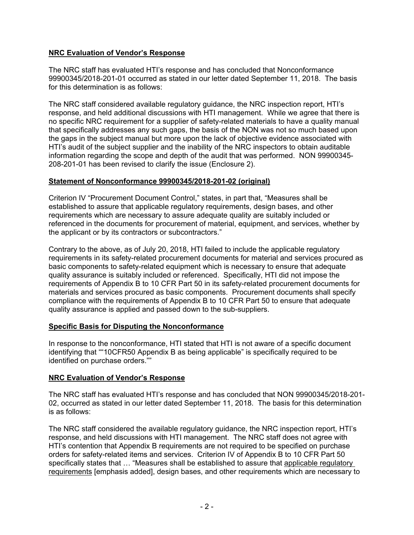### **NRC Evaluation of Vendor's Response**

The NRC staff has evaluated HTI's response and has concluded that Nonconformance 99900345/2018-201-01 occurred as stated in our letter dated September 11, 2018. The basis for this determination is as follows:

The NRC staff considered available regulatory guidance, the NRC inspection report, HTI's response, and held additional discussions with HTI management. While we agree that there is no specific NRC requirement for a supplier of safety-related materials to have a quality manual that specifically addresses any such gaps, the basis of the NON was not so much based upon the gaps in the subject manual but more upon the lack of objective evidence associated with HTI's audit of the subject supplier and the inability of the NRC inspectors to obtain auditable information regarding the scope and depth of the audit that was performed. NON 99900345- 208-201-01 has been revised to clarify the issue (Enclosure 2).

### **Statement of Nonconformance 99900345/2018-201-02 (original)**

Criterion IV "Procurement Document Control," states, in part that, "Measures shall be established to assure that applicable regulatory requirements, design bases, and other requirements which are necessary to assure adequate quality are suitably included or referenced in the documents for procurement of material, equipment, and services, whether by the applicant or by its contractors or subcontractors."

Contrary to the above, as of July 20, 2018, HTI failed to include the applicable regulatory requirements in its safety-related procurement documents for material and services procured as basic components to safety-related equipment which is necessary to ensure that adequate quality assurance is suitably included or referenced. Specifically, HTI did not impose the requirements of Appendix B to 10 CFR Part 50 in its safety-related procurement documents for materials and services procured as basic components. Procurement documents shall specify compliance with the requirements of Appendix B to 10 CFR Part 50 to ensure that adequate quality assurance is applied and passed down to the sub-suppliers.

### **Specific Basis for Disputing the Nonconformance**

In response to the nonconformance, HTI stated that HTI is not aware of a specific document identifying that ""10CFR50 Appendix B as being applicable" is specifically required to be identified on purchase orders.""

### **NRC Evaluation of Vendor's Response**

The NRC staff has evaluated HTI's response and has concluded that NON 99900345/2018-201- 02, occurred as stated in our letter dated September 11, 2018. The basis for this determination is as follows:

The NRC staff considered the available regulatory guidance, the NRC inspection report, HTI's response, and held discussions with HTI management. The NRC staff does not agree with HTI's contention that Appendix B requirements are not required to be specified on purchase orders for safety-related items and services. Criterion IV of Appendix B to 10 CFR Part 50 specifically states that … "Measures shall be established to assure that applicable regulatory requirements [emphasis added], design bases, and other requirements which are necessary to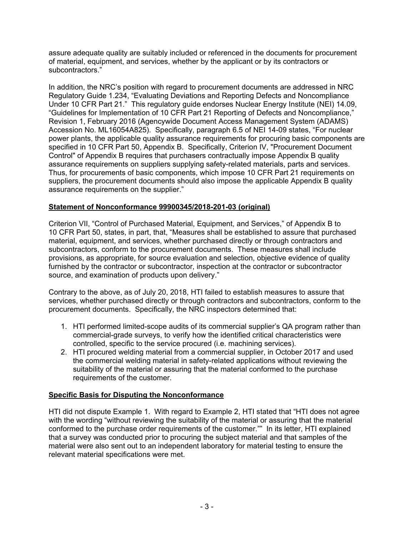assure adequate quality are suitably included or referenced in the documents for procurement of material, equipment, and services, whether by the applicant or by its contractors or subcontractors."

In addition, the NRC's position with regard to procurement documents are addressed in NRC Regulatory Guide 1.234, "Evaluating Deviations and Reporting Defects and Noncompliance Under 10 CFR Part 21." This regulatory guide endorses Nuclear Energy Institute (NEI) 14.09, "Guidelines for Implementation of 10 CFR Part 21 Reporting of Defects and Noncompliance," Revision 1, February 2016 (Agencywide Document Access Management System (ADAMS) Accession No. ML16054A825). Specifically, paragraph 6.5 of NEI 14-09 states, "For nuclear power plants, the applicable quality assurance requirements for procuring basic components are specified in 10 CFR Part 50, Appendix B. Specifically, Criterion IV, "Procurement Document Control" of Appendix B requires that purchasers contractually impose Appendix B quality assurance requirements on suppliers supplying safety-related materials, parts and services. Thus, for procurements of basic components, which impose 10 CFR Part 21 requirements on suppliers, the procurement documents should also impose the applicable Appendix B quality assurance requirements on the supplier."

## **Statement of Nonconformance 99900345/2018-201-03 (original)**

Criterion VII, "Control of Purchased Material, Equipment, and Services," of Appendix B to 10 CFR Part 50, states, in part, that, "Measures shall be established to assure that purchased material, equipment, and services, whether purchased directly or through contractors and subcontractors, conform to the procurement documents. These measures shall include provisions, as appropriate, for source evaluation and selection, objective evidence of quality furnished by the contractor or subcontractor, inspection at the contractor or subcontractor source, and examination of products upon delivery."

Contrary to the above, as of July 20, 2018, HTI failed to establish measures to assure that services, whether purchased directly or through contractors and subcontractors, conform to the procurement documents. Specifically, the NRC inspectors determined that:

- 1. HTI performed limited-scope audits of its commercial supplier's QA program rather than commercial-grade surveys, to verify how the identified critical characteristics were controlled, specific to the service procured (i.e. machining services).
- 2. HTI procured welding material from a commercial supplier, in October 2017 and used the commercial welding material in safety-related applications without reviewing the suitability of the material or assuring that the material conformed to the purchase requirements of the customer.

## **Specific Basis for Disputing the Nonconformance**

HTI did not dispute Example 1. With regard to Example 2, HTI stated that "HTI does not agree with the wording "without reviewing the suitability of the material or assuring that the material conformed to the purchase order requirements of the customer."" In its letter, HTI explained that a survey was conducted prior to procuring the subject material and that samples of the material were also sent out to an independent laboratory for material testing to ensure the relevant material specifications were met.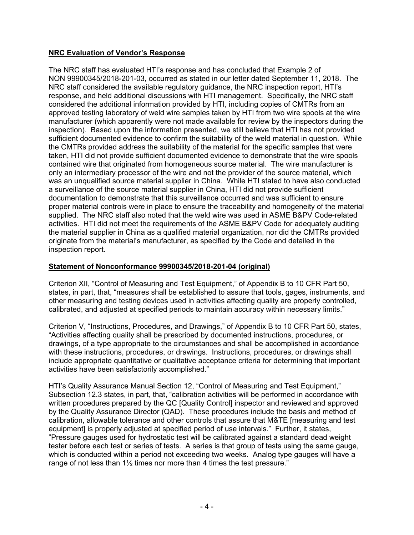### **NRC Evaluation of Vendor's Response**

The NRC staff has evaluated HTI's response and has concluded that Example 2 of NON 99900345/2018-201-03, occurred as stated in our letter dated September 11, 2018. The NRC staff considered the available regulatory guidance, the NRC inspection report, HTI's response, and held additional discussions with HTI management. Specifically, the NRC staff considered the additional information provided by HTI, including copies of CMTRs from an approved testing laboratory of weld wire samples taken by HTI from two wire spools at the wire manufacturer (which apparently were not made available for review by the inspectors during the inspection). Based upon the information presented, we still believe that HTI has not provided sufficient documented evidence to confirm the suitability of the weld material in question. While the CMTRs provided address the suitability of the material for the specific samples that were taken, HTI did not provide sufficient documented evidence to demonstrate that the wire spools contained wire that originated from homogeneous source material. The wire manufacturer is only an intermediary processor of the wire and not the provider of the source material, which was an unqualified source material supplier in China. While HTI stated to have also conducted a surveillance of the source material supplier in China, HTI did not provide sufficient documentation to demonstrate that this surveillance occurred and was sufficient to ensure proper material controls were in place to ensure the traceability and homogeneity of the material supplied. The NRC staff also noted that the weld wire was used in ASME B&PV Code-related activities. HTI did not meet the requirements of the ASME B&PV Code for adequately auditing the material supplier in China as a qualified material organization, nor did the CMTRs provided originate from the material's manufacturer, as specified by the Code and detailed in the inspection report.

### **Statement of Nonconformance 99900345/2018-201-04 (original)**

Criterion XII, "Control of Measuring and Test Equipment," of Appendix B to 10 CFR Part 50, states, in part, that, "measures shall be established to assure that tools, gages, instruments, and other measuring and testing devices used in activities affecting quality are properly controlled, calibrated, and adjusted at specified periods to maintain accuracy within necessary limits."

Criterion V, "Instructions, Procedures, and Drawings," of Appendix B to 10 CFR Part 50, states, "Activities affecting quality shall be prescribed by documented instructions, procedures, or drawings, of a type appropriate to the circumstances and shall be accomplished in accordance with these instructions, procedures, or drawings. Instructions, procedures, or drawings shall include appropriate quantitative or qualitative acceptance criteria for determining that important activities have been satisfactorily accomplished."

HTI's Quality Assurance Manual Section 12, "Control of Measuring and Test Equipment," Subsection 12.3 states, in part, that, "calibration activities will be performed in accordance with written procedures prepared by the QC [Quality Control] inspector and reviewed and approved by the Quality Assurance Director (QAD). These procedures include the basis and method of calibration, allowable tolerance and other controls that assure that M&TE [measuring and test equipment] is properly adjusted at specified period of use intervals." Further, it states, "Pressure gauges used for hydrostatic test will be calibrated against a standard dead weight tester before each test or series of tests. A series is that group of tests using the same gauge, which is conducted within a period not exceeding two weeks. Analog type gauges will have a range of not less than 1½ times nor more than 4 times the test pressure."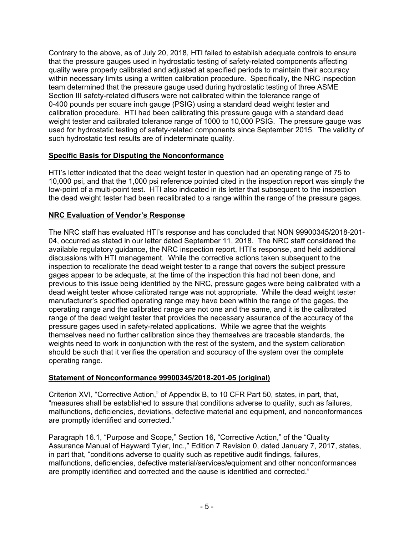Contrary to the above, as of July 20, 2018, HTI failed to establish adequate controls to ensure that the pressure gauges used in hydrostatic testing of safety-related components affecting quality were properly calibrated and adjusted at specified periods to maintain their accuracy within necessary limits using a written calibration procedure. Specifically, the NRC inspection team determined that the pressure gauge used during hydrostatic testing of three ASME Section III safety-related diffusers were not calibrated within the tolerance range of 0-400 pounds per square inch gauge (PSIG) using a standard dead weight tester and calibration procedure. HTI had been calibrating this pressure gauge with a standard dead weight tester and calibrated tolerance range of 1000 to 10,000 PSIG. The pressure gauge was used for hydrostatic testing of safety-related components since September 2015. The validity of such hydrostatic test results are of indeterminate quality.

## **Specific Basis for Disputing the Nonconformance**

HTI's letter indicated that the dead weight tester in question had an operating range of 75 to 10,000 psi, and that the 1,000 psi reference pointed cited in the inspection report was simply the low-point of a multi-point test. HTI also indicated in its letter that subsequent to the inspection the dead weight tester had been recalibrated to a range within the range of the pressure gages.

# **NRC Evaluation of Vendor's Response**

The NRC staff has evaluated HTI's response and has concluded that NON 99900345/2018-201- 04, occurred as stated in our letter dated September 11, 2018. The NRC staff considered the available regulatory guidance, the NRC inspection report, HTI's response, and held additional discussions with HTI management. While the corrective actions taken subsequent to the inspection to recalibrate the dead weight tester to a range that covers the subject pressure gages appear to be adequate, at the time of the inspection this had not been done, and previous to this issue being identified by the NRC, pressure gages were being calibrated with a dead weight tester whose calibrated range was not appropriate. While the dead weight tester manufacturer's specified operating range may have been within the range of the gages, the operating range and the calibrated range are not one and the same, and it is the calibrated range of the dead weight tester that provides the necessary assurance of the accuracy of the pressure gages used in safety-related applications. While we agree that the weights themselves need no further calibration since they themselves are traceable standards, the weights need to work in conjunction with the rest of the system, and the system calibration should be such that it verifies the operation and accuracy of the system over the complete operating range.

## **Statement of Nonconformance 99900345/2018-201-05 (original)**

Criterion XVI, "Corrective Action," of Appendix B, to 10 CFR Part 50, states, in part, that, "measures shall be established to assure that conditions adverse to quality, such as failures, malfunctions, deficiencies, deviations, defective material and equipment, and nonconformances are promptly identified and corrected."

Paragraph 16.1, "Purpose and Scope," Section 16, "Corrective Action," of the "Quality Assurance Manual of Hayward Tyler, Inc.," Edition 7 Revision 0, dated January 7, 2017, states, in part that, "conditions adverse to quality such as repetitive audit findings, failures, malfunctions, deficiencies, defective material/services/equipment and other nonconformances are promptly identified and corrected and the cause is identified and corrected."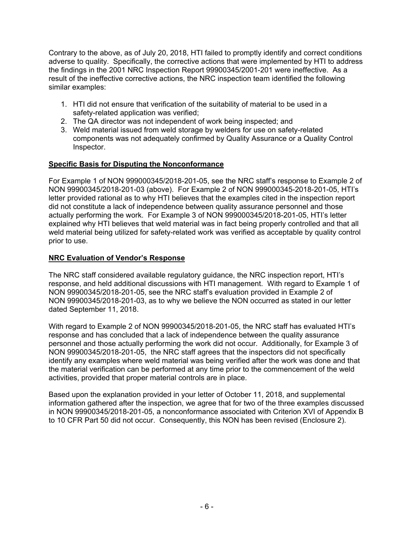Contrary to the above, as of July 20, 2018, HTI failed to promptly identify and correct conditions adverse to quality. Specifically, the corrective actions that were implemented by HTI to address the findings in the 2001 NRC Inspection Report 99900345/2001-201 were ineffective. As a result of the ineffective corrective actions, the NRC inspection team identified the following similar examples:

- 1. HTI did not ensure that verification of the suitability of material to be used in a safety-related application was verified;
- 2. The QA director was not independent of work being inspected; and
- 3. Weld material issued from weld storage by welders for use on safety-related components was not adequately confirmed by Quality Assurance or a Quality Control Inspector.

# **Specific Basis for Disputing the Nonconformance**

For Example 1 of NON 999000345/2018-201-05, see the NRC staff's response to Example 2 of NON 99900345/2018-201-03 (above). For Example 2 of NON 999000345-2018-201-05, HTI's letter provided rational as to why HTI believes that the examples cited in the inspection report did not constitute a lack of independence between quality assurance personnel and those actually performing the work. For Example 3 of NON 999000345/2018-201-05, HTI's letter explained why HTI believes that weld material was in fact being properly controlled and that all weld material being utilized for safety-related work was verified as acceptable by quality control prior to use.

# **NRC Evaluation of Vendor's Response**

The NRC staff considered available regulatory guidance, the NRC inspection report, HTI's response, and held additional discussions with HTI management. With regard to Example 1 of NON 99900345/2018-201-05, see the NRC staff's evaluation provided in Example 2 of NON 99900345/2018-201-03, as to why we believe the NON occurred as stated in our letter dated September 11, 2018.

With regard to Example 2 of NON 99900345/2018-201-05, the NRC staff has evaluated HTI's response and has concluded that a lack of independence between the quality assurance personnel and those actually performing the work did not occur. Additionally, for Example 3 of NON 99900345/2018-201-05, the NRC staff agrees that the inspectors did not specifically identify any examples where weld material was being verified after the work was done and that the material verification can be performed at any time prior to the commencement of the weld activities, provided that proper material controls are in place.

Based upon the explanation provided in your letter of October 11, 2018, and supplemental information gathered after the inspection, we agree that for two of the three examples discussed in NON 99900345/2018-201-05, a nonconformance associated with Criterion XVI of Appendix B to 10 CFR Part 50 did not occur. Consequently, this NON has been revised (Enclosure 2).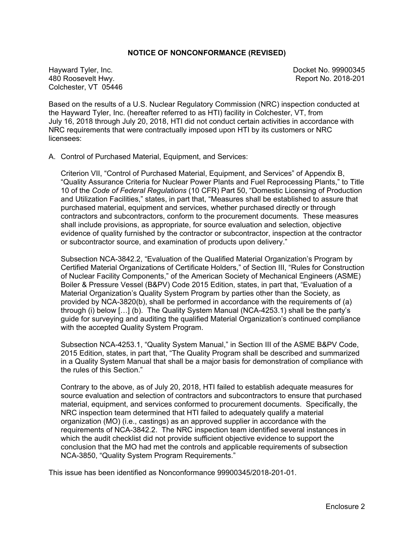#### **NOTICE OF NONCONFORMANCE (REVISED)**

Hayward Tyler, Inc. Docket No. 99900345 480 Roosevelt Hwy. Report No. 2018-201 Colchester, VT 05446

Based on the results of a U.S. Nuclear Regulatory Commission (NRC) inspection conducted at the Hayward Tyler, Inc. (hereafter referred to as HTI) facility in Colchester, VT, from July 16, 2018 through July 20, 2018, HTI did not conduct certain activities in accordance with NRC requirements that were contractually imposed upon HTI by its customers or NRC licensees:

A. Control of Purchased Material, Equipment, and Services:

Criterion VII, "Control of Purchased Material, Equipment, and Services" of Appendix B, "Quality Assurance Criteria for Nuclear Power Plants and Fuel Reprocessing Plants," to Title 10 of the *Code of Federal Regulations* (10 CFR) Part 50, "Domestic Licensing of Production and Utilization Facilities," states, in part that, "Measures shall be established to assure that purchased material, equipment and services, whether purchased directly or through contractors and subcontractors, conform to the procurement documents. These measures shall include provisions, as appropriate, for source evaluation and selection, objective evidence of quality furnished by the contractor or subcontractor, inspection at the contractor or subcontractor source, and examination of products upon delivery."

Subsection NCA-3842.2, "Evaluation of the Qualified Material Organization's Program by Certified Material Organizations of Certificate Holders," of Section III, "Rules for Construction of Nuclear Facility Components," of the American Society of Mechanical Engineers (ASME) Boiler & Pressure Vessel (B&PV) Code 2015 Edition, states, in part that, "Evaluation of a Material Organization's Quality System Program by parties other than the Society, as provided by NCA-3820(b), shall be performed in accordance with the requirements of (a) through (i) below […] (b). The Quality System Manual (NCA-4253.1) shall be the party's guide for surveying and auditing the qualified Material Organization's continued compliance with the accepted Quality System Program.

Subsection NCA-4253.1, "Quality System Manual," in Section III of the ASME B&PV Code, 2015 Edition, states, in part that, "The Quality Program shall be described and summarized in a Quality System Manual that shall be a major basis for demonstration of compliance with the rules of this Section."

Contrary to the above, as of July 20, 2018, HTI failed to establish adequate measures for source evaluation and selection of contractors and subcontractors to ensure that purchased material, equipment, and services conformed to procurement documents. Specifically, the NRC inspection team determined that HTI failed to adequately qualify a material organization (MO) (i.e., castings) as an approved supplier in accordance with the requirements of NCA-3842.2. The NRC inspection team identified several instances in which the audit checklist did not provide sufficient objective evidence to support the conclusion that the MO had met the controls and applicable requirements of subsection NCA-3850, "Quality System Program Requirements."

This issue has been identified as Nonconformance 99900345/2018-201-01.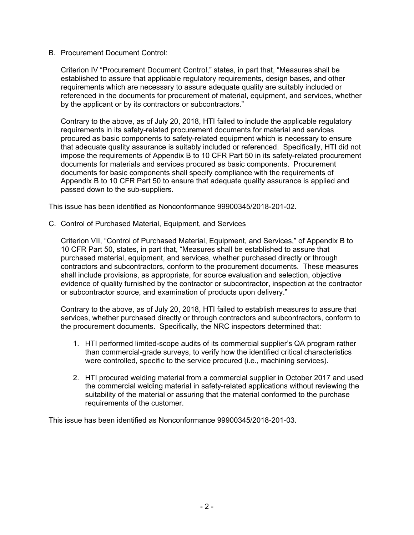#### B. Procurement Document Control:

Criterion IV "Procurement Document Control," states, in part that, "Measures shall be established to assure that applicable regulatory requirements, design bases, and other requirements which are necessary to assure adequate quality are suitably included or referenced in the documents for procurement of material, equipment, and services, whether by the applicant or by its contractors or subcontractors."

Contrary to the above, as of July 20, 2018, HTI failed to include the applicable regulatory requirements in its safety-related procurement documents for material and services procured as basic components to safety-related equipment which is necessary to ensure that adequate quality assurance is suitably included or referenced. Specifically, HTI did not impose the requirements of Appendix B to 10 CFR Part 50 in its safety-related procurement documents for materials and services procured as basic components. Procurement documents for basic components shall specify compliance with the requirements of Appendix B to 10 CFR Part 50 to ensure that adequate quality assurance is applied and passed down to the sub-suppliers.

This issue has been identified as Nonconformance 99900345/2018-201-02.

C. Control of Purchased Material, Equipment, and Services

Criterion VII, "Control of Purchased Material, Equipment, and Services," of Appendix B to 10 CFR Part 50, states, in part that, "Measures shall be established to assure that purchased material, equipment, and services, whether purchased directly or through contractors and subcontractors, conform to the procurement documents. These measures shall include provisions, as appropriate, for source evaluation and selection, objective evidence of quality furnished by the contractor or subcontractor, inspection at the contractor or subcontractor source, and examination of products upon delivery."

Contrary to the above, as of July 20, 2018, HTI failed to establish measures to assure that services, whether purchased directly or through contractors and subcontractors, conform to the procurement documents. Specifically, the NRC inspectors determined that:

- 1. HTI performed limited-scope audits of its commercial supplier's QA program rather than commercial-grade surveys, to verify how the identified critical characteristics were controlled, specific to the service procured (i.e., machining services).
- 2. HTI procured welding material from a commercial supplier in October 2017 and used the commercial welding material in safety-related applications without reviewing the suitability of the material or assuring that the material conformed to the purchase requirements of the customer.

This issue has been identified as Nonconformance 99900345/2018-201-03.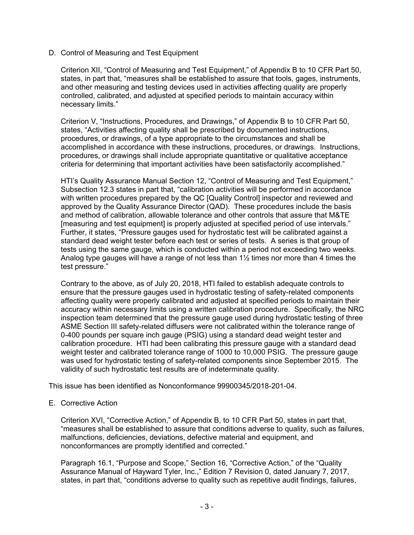#### D. Control of Measuring and Test Equipment

Criterion XII, "Control of Measuring and Test Equipment," of Appendix B to 10 CFR Part 50, states, in part that, "measures shall be established to assure that tools, gages, instruments, and other measuring and testing devices used in activities affecting quality are properly controlled, calibrated, and adjusted at specified periods to maintain accuracy within necessary limits."

Criterion V, "Instructions, Procedures, and Drawings," of Appendix B to 10 CFR Part 50, states, "Activities affecting quality shall be prescribed by documented instructions, procedures, or drawings, of a type appropriate to the circumstances and shall be accomplished in accordance with these instructions, procedures, or drawings. Instructions, procedures, or drawings shall include appropriate quantitative or qualitative acceptance criteria for determining that important activities have been satisfactorily accomplished."

HTI's Quality Assurance Manual Section 12, "Control of Measuring and Test Equipment," Subsection 12.3 states in part that, "calibration activities will be performed in accordance with written procedures prepared by the QC [Quality Control] inspector and reviewed and approved by the Quality Assurance Director (QAD). These procedures include the basis and method of calibration, allowable tolerance and other controls that assure that M&TE [measuring and test equipment] is properly adjusted at specified period of use intervals." Further, it states, "Pressure gauges used for hydrostatic test will be calibrated against a standard dead weight tester before each test or series of tests. A series is that group of tests using the same gauge, which is conducted within a period not exceeding two weeks. Analog type gauges will have a range of not less than 1½ times nor more than 4 times the test pressure."

Contrary to the above, as of July 20, 2018, HTI failed to establish adequate controls to ensure that the pressure gauges used in hydrostatic testing of safety-related components affecting quality were properly calibrated and adjusted at specified periods to maintain their accuracy within necessary limits using a written calibration procedure. Specifically, the NRC inspection team determined that the pressure gauge used during hydrostatic testing of three ASME Section III safety-related diffusers were not calibrated within the tolerance range of 0-400 pounds per square inch gauge (PSIG) using a standard dead weight tester and calibration procedure. HTI had been calibrating this pressure gauge with a standard dead weight tester and calibrated tolerance range of 1000 to 10,000 PSIG. The pressure gauge was used for hydrostatic testing of safety-related components since September 2015. The validity of such hydrostatic test results are of indeterminate quality.

This issue has been identified as Nonconformance 99900345/2018-201-04.

E. Corrective Action

Criterion XVI, "Corrective Action," of Appendix B, to 10 CFR Part 50, states in part that, "measures shall be established to assure that conditions adverse to quality, such as failures, malfunctions, deficiencies, deviations, defective material and equipment, and nonconformances are promptly identified and corrected."

Paragraph 16.1, "Purpose and Scope," Section 16, "Corrective Action," of the "Quality Assurance Manual of Hayward Tyler, Inc.," Edition 7 Revision 0, dated January 7, 2017, states, in part that, "conditions adverse to quality such as repetitive audit findings, failures,